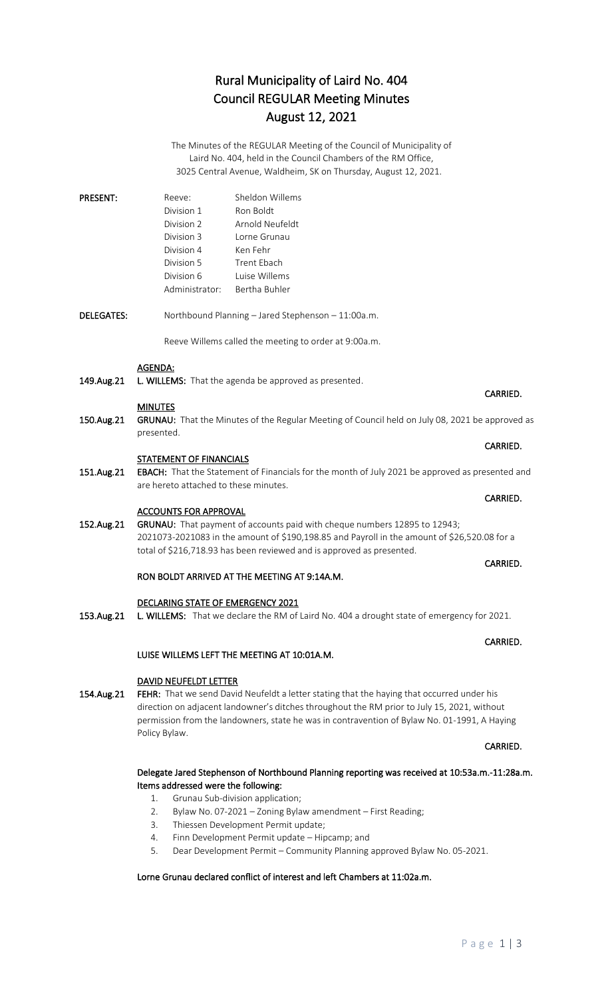# Rural Municipality of Laird No. 404 Council REGULAR Meeting Minutes August 12, 2021

The Minutes of the REGULAR Meeting of the Council of Municipality of Laird No. 404, held in the Council Chambers of the RM Office, 3025 Central Avenue, Waldheim, SK on Thursday, August 12, 2021.

| <b>PRESENT:</b> | Reeve:         | Sheldon Willems |
|-----------------|----------------|-----------------|
|                 | Division 1     | Ron Boldt       |
|                 | Division 2     | Arnold Neufeldt |
|                 | Division 3     | Torne Grunau    |
|                 | Division 4     | Ken Fehr        |
|                 | Division 5     | Trent Ebach     |
|                 | Division 6     | Luise Willems   |
|                 | Administrator: | Bertha Buhler   |

DELEGATES: Northbound Planning – Jared Stephenson – 11:00a.m.

Reeve Willems called the meeting to order at 9:00a.m.

#### AGENDA:

149.Aug.21 L. WILLEMS: That the agenda be approved as presented.

#### **MINUTES**

150.Aug.21 GRUNAU: That the Minutes of the Regular Meeting of Council held on July 08, 2021 be approved as presented.

**CARRIED. CARRIED.** 

#### STATEMENT OF FINANCIALS

151.Aug.21 EBACH: That the Statement of Financials for the month of July 2021 be approved as presented and are hereto attached to these minutes.

#### ACCOUNTS FOR APPROVAL

152.Aug.21 GRUNAU: That payment of accounts paid with cheque numbers 12895 to 12943; 2021073-2021083 in the amount of \$190,198.85 and Payroll in the amount of \$26,520.08 for a total of \$216,718.93 has been reviewed and is approved as presented.

#### RON BOLDT ARRIVED AT THE MEETING AT 9:14A.M.

#### DECLARING STATE OF EMERGENCY 2021

153.Aug.21 L. WILLEMS: That we declare the RM of Laird No. 404 a drought state of emergency for 2021.

### LUISE WILLEMS LEFT THE MEETING AT 10:01A.M.

#### DAVID NEUFELDT LETTER

154.Aug.21 FEHR: That we send David Neufeldt a letter stating that the haying that occurred under his direction on adjacent landowner's ditches throughout the RM prior to July 15, 2021, without permission from the landowners, state he was in contravention of Bylaw No. 01-1991, A Haying Policy Bylaw.

#### **CARRIED.** The contract of the contract of the contract of the contract of the contract of the contract of the contract of the contract of the contract of the contract of the contract of the contract of the contract of the

### Delegate Jared Stephenson of Northbound Planning reporting was received at 10:53a.m.-11:28a.m. Items addressed were the following:

- 1. Grunau Sub-division application;
- 2. Bylaw No. 07-2021 Zoning Bylaw amendment First Reading;
- 3. Thiessen Development Permit update;
- 4. Finn Development Permit update Hipcamp; and
- 5. Dear Development Permit Community Planning approved Bylaw No. 05-2021.

#### Lorne Grunau declared conflict of interest and left Chambers at 11:02a.m.

# CARRIED.

#### **CARRIED. CARRIED.**

#### CARRIED.

CARRIED.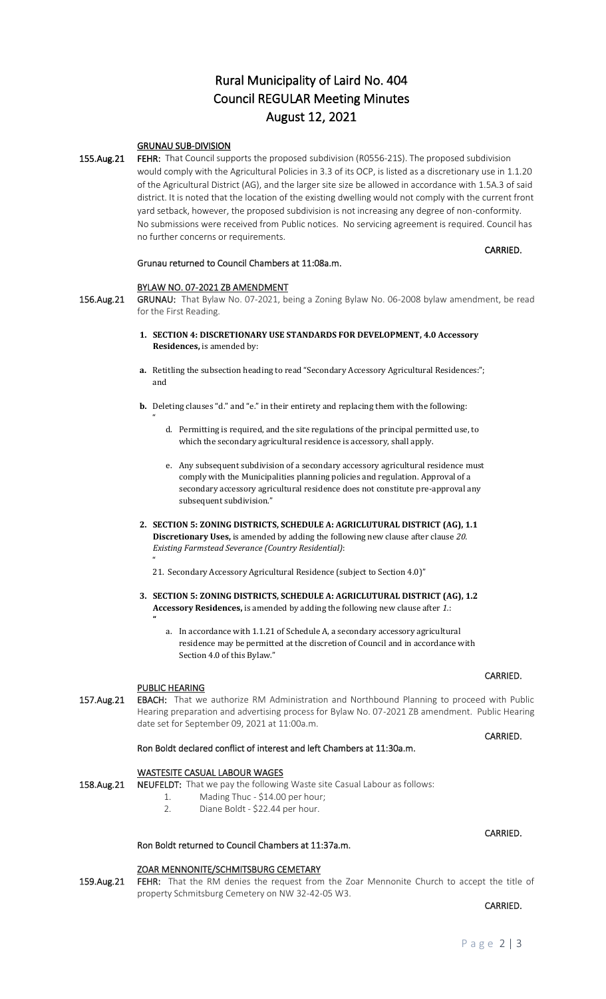# Rural Municipality of Laird No. 404 Council REGULAR Meeting Minutes August 12, 2021

### GRUNAU SUB-DIVISION

155.Aug.21 FEHR: That Council supports the proposed subdivision (R0556-21S). The proposed subdivision would comply with the Agricultural Policies in 3.3 of its OCP, is listed as a discretionary use in 1.1.20 of the Agricultural District (AG), and the larger site size be allowed in accordance with 1.5A.3 of said district. It is noted that the location of the existing dwelling would not comply with the current front yard setback, however, the proposed subdivision is not increasing any degree of non-conformity. No submissions were received from Public notices. No servicing agreement is required. Council has no further concerns or requirements.

#### Grunau returned to Council Chambers at 11:08a.m.

#### BYLAW NO. 07-2021 ZB AMENDMENT

156.Aug.21 GRUNAU: That Bylaw No. 07-2021, being a Zoning Bylaw No. 06-2008 bylaw amendment, be read for the First Reading.

- **1. SECTION 4: DISCRETIONARY USE STANDARDS FOR DEVELOPMENT, 4.0 Accessory Residences,** is amended by:
- **a.** Retitling the subsection heading to read "Secondary Accessory Agricultural Residences:"; and
- **b.** Deleting clauses "d." and "e." in their entirety and replacing them with the following:
	- d. Permitting is required, and the site regulations of the principal permitted use, to which the secondary agricultural residence is accessory, shall apply.
	- e. Any subsequent subdivision of a secondary accessory agricultural residence must comply with the Municipalities planning policies and regulation. Approval of a secondary accessory agricultural residence does not constitute pre-approval any subsequent subdivision."
- **2. SECTION 5: ZONING DISTRICTS, SCHEDULE A: AGRICLUTURAL DISTRICT (AG), 1.1 Discretionary Uses,** is amended by adding the following new clause after clause *20. Existing Farmstead Severance (Country Residential)*:
	- 21. Secondary Accessory Agricultural Residence (subject to Section 4.0)"
- **3. SECTION 5: ZONING DISTRICTS, SCHEDULE A: AGRICLUTURAL DISTRICT (AG), 1.2 Accessory Residences,** is amended by adding the following new clause after *1.*:

**CARRIED. CARRIED.** 

a. In accordance with 1.1.21 of Schedule A, a secondary accessory agricultural residence may be permitted at the discretion of Council and in accordance with Section 4.0 of this Bylaw."

#### PUBLIC HEARING

 $^{\prime\prime}$ 

 $^{\prime\prime}$ 

**"**

157.Aug.21 EBACH: That we authorize RM Administration and Northbound Planning to proceed with Public Hearing preparation and advertising process for Bylaw No. 07-2021 ZB amendment. Public Hearing date set for September 09, 2021 at 11:00a.m.

#### **CARRIED. CARRIED.**

CARRIED.

#### Ron Boldt declared conflict of interest and left Chambers at 11:30a.m.

#### WASTESITE CASUAL LABOUR WAGES

- 158.Aug.21 NEUFELDT: That we pay the following Waste site Casual Labour as follows:
	- 1. Mading Thuc \$14.00 per hour;
	- 2. Diane Boldt \$22.44 per hour.

### Ron Boldt returned to Council Chambers at 11:37a.m.

#### ZOAR MENNONITE/SCHMITSBURG CEMETARY

159.Aug.21 FEHR: That the RM denies the request from the Zoar Mennonite Church to accept the title of property Schmitsburg Cemetery on NW 32-42-05 W3.

**CARRIED. CARRIED.** 

CARRIED.